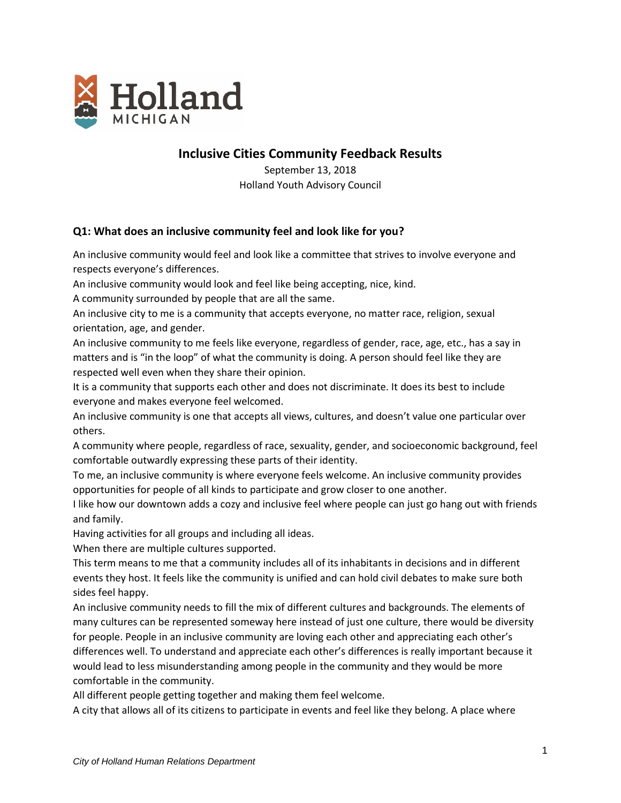

# **Inclusive Cities Community Feedback Results**

September 13, 2018 Holland Youth Advisory Council

## **Q1: What does an inclusive community feel and look like for you?**

An inclusive community would feel and look like a committee that strives to involve everyone and respects everyone's differences.

An inclusive community would look and feel like being accepting, nice, kind.

A community surrounded by people that are all the same.

An inclusive city to me is a community that accepts everyone, no matter race, religion, sexual orientation, age, and gender.

An inclusive community to me feels like everyone, regardless of gender, race, age, etc., has a say in matters and is "in the loop" of what the community is doing. A person should feel like they are respected well even when they share their opinion.

It is a community that supports each other and does not discriminate. It does its best to include everyone and makes everyone feel welcomed.

An inclusive community is one that accepts all views, cultures, and doesn't value one particular over others.

A community where people, regardless of race, sexuality, gender, and socioeconomic background, feel comfortable outwardly expressing these parts of their identity.

To me, an inclusive community is where everyone feels welcome. An inclusive community provides opportunities for people of all kinds to participate and grow closer to one another.

I like how our downtown adds a cozy and inclusive feel where people can just go hang out with friends and family.

Having activities for all groups and including all ideas.

When there are multiple cultures supported.

This term means to me that a community includes all of its inhabitants in decisions and in different events they host. It feels like the community is unified and can hold civil debates to make sure both sides feel happy.

An inclusive community needs to fill the mix of different cultures and backgrounds. The elements of many cultures can be represented someway here instead of just one culture, there would be diversity for people. People in an inclusive community are loving each other and appreciating each other's differences well. To understand and appreciate each other's differences is really important because it would lead to less misunderstanding among people in the community and they would be more comfortable in the community.

All different people getting together and making them feel welcome.

A city that allows all of its citizens to participate in events and feel like they belong. A place where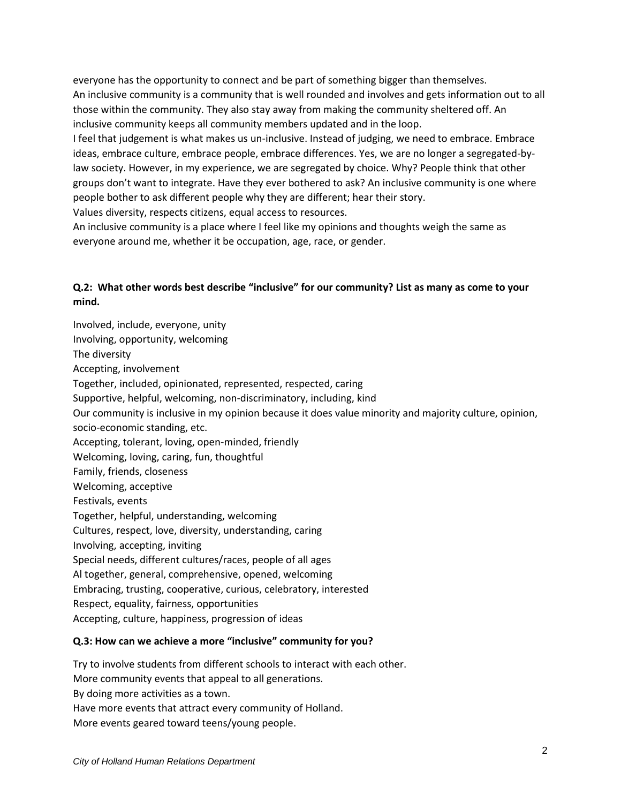everyone has the opportunity to connect and be part of something bigger than themselves. An inclusive community is a community that is well rounded and involves and gets information out to all those within the community. They also stay away from making the community sheltered off. An inclusive community keeps all community members updated and in the loop.

I feel that judgement is what makes us un-inclusive. Instead of judging, we need to embrace. Embrace ideas, embrace culture, embrace people, embrace differences. Yes, we are no longer a segregated-bylaw society. However, in my experience, we are segregated by choice. Why? People think that other groups don't want to integrate. Have they ever bothered to ask? An inclusive community is one where people bother to ask different people why they are different; hear their story.

Values diversity, respects citizens, equal access to resources.

An inclusive community is a place where I feel like my opinions and thoughts weigh the same as everyone around me, whether it be occupation, age, race, or gender.

## **Q.2: What other words best describe "inclusive" for our community? List as many as come to your mind.**

Involved, include, everyone, unity Involving, opportunity, welcoming The diversity Accepting, involvement Together, included, opinionated, represented, respected, caring Supportive, helpful, welcoming, non-discriminatory, including, kind Our community is inclusive in my opinion because it does value minority and majority culture, opinion, socio-economic standing, etc. Accepting, tolerant, loving, open-minded, friendly Welcoming, loving, caring, fun, thoughtful Family, friends, closeness Welcoming, acceptive Festivals, events Together, helpful, understanding, welcoming Cultures, respect, love, diversity, understanding, caring Involving, accepting, inviting Special needs, different cultures/races, people of all ages Al together, general, comprehensive, opened, welcoming Embracing, trusting, cooperative, curious, celebratory, interested Respect, equality, fairness, opportunities Accepting, culture, happiness, progression of ideas

### **Q.3: How can we achieve a more "inclusive" community for you?**

Try to involve students from different schools to interact with each other. More community events that appeal to all generations. By doing more activities as a town. Have more events that attract every community of Holland. More events geared toward teens/young people.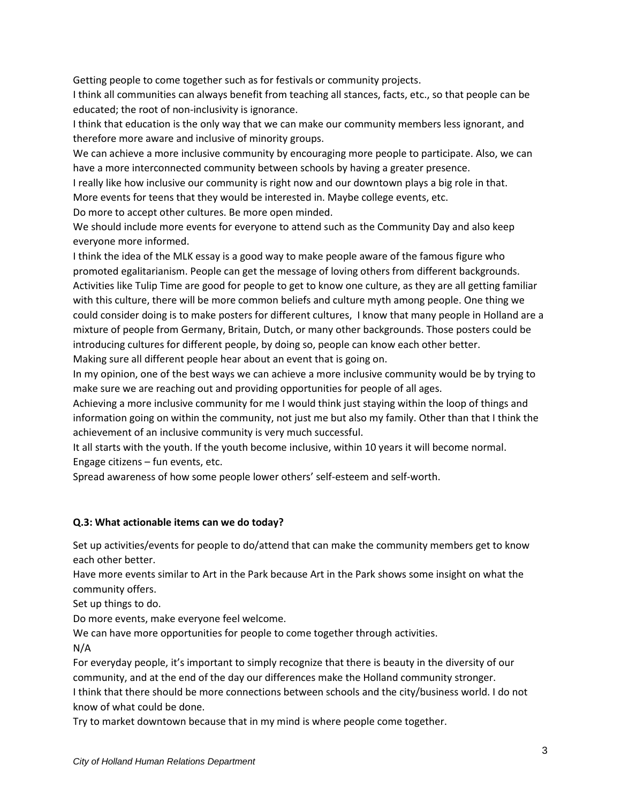Getting people to come together such as for festivals or community projects.

I think all communities can always benefit from teaching all stances, facts, etc., so that people can be educated; the root of non-inclusivity is ignorance.

I think that education is the only way that we can make our community members less ignorant, and therefore more aware and inclusive of minority groups.

We can achieve a more inclusive community by encouraging more people to participate. Also, we can have a more interconnected community between schools by having a greater presence.

I really like how inclusive our community is right now and our downtown plays a big role in that. More events for teens that they would be interested in. Maybe college events, etc.

Do more to accept other cultures. Be more open minded.

We should include more events for everyone to attend such as the Community Day and also keep everyone more informed.

I think the idea of the MLK essay is a good way to make people aware of the famous figure who promoted egalitarianism. People can get the message of loving others from different backgrounds. Activities like Tulip Time are good for people to get to know one culture, as they are all getting familiar with this culture, there will be more common beliefs and culture myth among people. One thing we could consider doing is to make posters for different cultures, I know that many people in Holland are a mixture of people from Germany, Britain, Dutch, or many other backgrounds. Those posters could be introducing cultures for different people, by doing so, people can know each other better. Making sure all different people hear about an event that is going on.

In my opinion, one of the best ways we can achieve a more inclusive community would be by trying to make sure we are reaching out and providing opportunities for people of all ages.

Achieving a more inclusive community for me I would think just staying within the loop of things and information going on within the community, not just me but also my family. Other than that I think the achievement of an inclusive community is very much successful.

It all starts with the youth. If the youth become inclusive, within 10 years it will become normal. Engage citizens – fun events, etc.

Spread awareness of how some people lower others' self-esteem and self-worth.

### **Q.3: What actionable items can we do today?**

Set up activities/events for people to do/attend that can make the community members get to know each other better.

Have more events similar to Art in the Park because Art in the Park shows some insight on what the community offers.

Set up things to do.

Do more events, make everyone feel welcome.

We can have more opportunities for people to come together through activities. N/A

For everyday people, it's important to simply recognize that there is beauty in the diversity of our community, and at the end of the day our differences make the Holland community stronger.

I think that there should be more connections between schools and the city/business world. I do not know of what could be done.

Try to market downtown because that in my mind is where people come together.